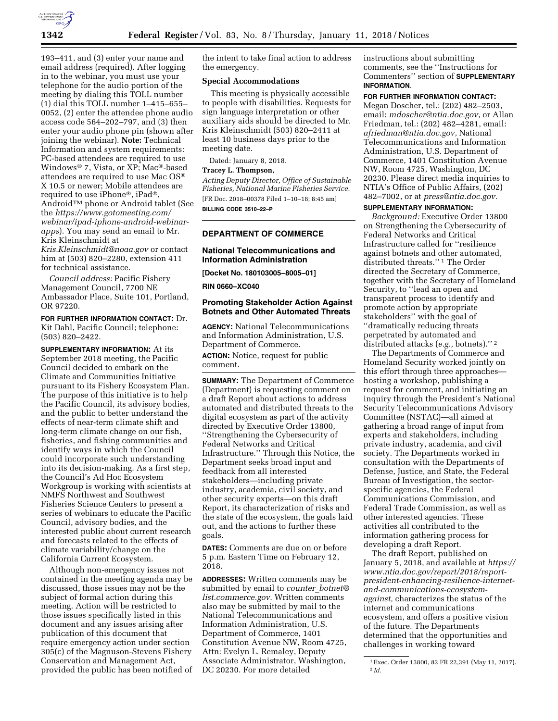

193–411, and (3) enter your name and email address (required). After logging in to the webinar, you must use your telephone for the audio portion of the meeting by dialing this TOLL number (1) dial this TOLL number 1–415–655– 0052, (2) enter the attendee phone audio access code 564–202–797, and (3) then enter your audio phone pin (shown after joining the webinar). **Note:** Technical Information and system requirements: PC-based attendees are required to use Windows® 7, Vista, or XP; Mac®-based attendees are required to use Mac OS® X 10.5 or newer; Mobile attendees are required to use iPhone®, iPad®, Android™ phone or Android tablet (See the *<https://www.gotomeeting.com/> webinar/ipad-iphone-android-webinarapps*). You may send an email to Mr. Kris Kleinschmidt at *[Kris.Kleinschmidt@noaa.gov](mailto:Kris.Kleinschmidt@noaa.gov)* or contact

him at (503) 820–2280, extension 411 for technical assistance.

*Council address:* Pacific Fishery Management Council, 7700 NE Ambassador Place, Suite 101, Portland, OR 97220.

**FOR FURTHER INFORMATION CONTACT:** Dr. Kit Dahl, Pacific Council; telephone: (503) 820–2422.

**SUPPLEMENTARY INFORMATION:** At its September 2018 meeting, the Pacific Council decided to embark on the Climate and Communities Initiative pursuant to its Fishery Ecosystem Plan. The purpose of this initiative is to help the Pacific Council, its advisory bodies, and the public to better understand the effects of near-term climate shift and long-term climate change on our fish, fisheries, and fishing communities and identify ways in which the Council could incorporate such understanding into its decision-making. As a first step, the Council's Ad Hoc Ecosystem Workgroup is working with scientists at NMFS Northwest and Southwest Fisheries Science Centers to present a series of webinars to educate the Pacific Council, advisory bodies, and the interested public about current research and forecasts related to the effects of climate variability/change on the California Current Ecosystem.

Although non-emergency issues not contained in the meeting agenda may be discussed, those issues may not be the subject of formal action during this meeting. Action will be restricted to those issues specifically listed in this document and any issues arising after publication of this document that require emergency action under section 305(c) of the Magnuson-Stevens Fishery Conservation and Management Act, provided the public has been notified of the intent to take final action to address the emergency.

#### **Special Accommodations**

This meeting is physically accessible to people with disabilities. Requests for sign language interpretation or other auxiliary aids should be directed to Mr. Kris Kleinschmidt (503) 820–2411 at least 10 business days prior to the meeting date.

Dated: January 8, 2018.

## **Tracey L. Thompson,**

*Acting Deputy Director, Office of Sustainable Fisheries, National Marine Fisheries Service.*  [FR Doc. 2018–00378 Filed 1–10–18; 8:45 am] **BILLING CODE 3510–22–P** 

### **DEPARTMENT OF COMMERCE**

### **National Telecommunications and Information Administration**

**[Docket No. 180103005–8005–01]** 

**RIN 0660–XC040** 

### **Promoting Stakeholder Action Against Botnets and Other Automated Threats**

**AGENCY:** National Telecommunications and Information Administration, U.S. Department of Commerce.

**ACTION:** Notice, request for public comment.

**SUMMARY:** The Department of Commerce (Department) is requesting comment on a draft Report about actions to address automated and distributed threats to the digital ecosystem as part of the activity directed by Executive Order 13800, ''Strengthening the Cybersecurity of Federal Networks and Critical Infrastructure.'' Through this Notice, the Department seeks broad input and feedback from all interested stakeholders—including private industry, academia, civil society, and other security experts—on this draft Report, its characterization of risks and the state of the ecosystem, the goals laid out, and the actions to further these goals.

**DATES:** Comments are due on or before 5 p.m. Eastern Time on February 12, 2018.

**ADDRESSES:** Written comments may be submitted by email to *counter*\_*[botnet@](mailto:counter_botnet@list.commerce.gov) [list.commerce.gov](mailto:counter_botnet@list.commerce.gov)*. Written comments also may be submitted by mail to the National Telecommunications and Information Administration, U.S. Department of Commerce, 1401 Constitution Avenue NW, Room 4725, Attn: Evelyn L. Remaley, Deputy Associate Administrator, Washington, DC 20230. For more detailed

instructions about submitting comments, see the ''Instructions for Commenters'' section of **SUPPLEMENTARY INFORMATION**.

#### **FOR FURTHER INFORMATION CONTACT:**

Megan Doscher, tel.: (202) 482–2503, email: *[mdoscher@ntia.doc.gov](mailto:mdoscher@ntia.doc.gov)*, or Allan Friedman, tel.: (202) 482–4281, email: *[afriedman@ntia.doc.gov](mailto:afriedman@ntia.doc.gov)*, National Telecommunications and Information Administration, U.S. Department of Commerce, 1401 Constitution Avenue NW, Room 4725, Washington, DC 20230. Please direct media inquiries to NTIA's Office of Public Affairs, (202) 482–7002, or at *[press@ntia.doc.gov](mailto:press@ntia.doc.gov)*.

# **SUPPLEMENTARY INFORMATION:**

*Background:* Executive Order 13800 on Strengthening the Cybersecurity of Federal Networks and Critical Infrastructure called for ''resilience against botnets and other automated, distributed threats.'' 1 The Order directed the Secretary of Commerce, together with the Secretary of Homeland Security, to ''lead an open and transparent process to identify and promote action by appropriate stakeholders'' with the goal of ''dramatically reducing threats perpetrated by automated and distributed attacks (*e.g.,* botnets).'' 2

The Departments of Commerce and Homeland Security worked jointly on this effort through three approaches hosting a workshop, publishing a request for comment, and initiating an inquiry through the President's National Security Telecommunications Advisory Committee (NSTAC)—all aimed at gathering a broad range of input from experts and stakeholders, including private industry, academia, and civil society. The Departments worked in consultation with the Departments of Defense, Justice, and State, the Federal Bureau of Investigation, the sectorspecific agencies, the Federal Communications Commission, and Federal Trade Commission, as well as other interested agencies. These activities all contributed to the information gathering process for developing a draft Report.

The draft Report, published on January 5, 2018, and available at *[https://](https://www.ntia.doc.gov/report/2018/report-president-enhancing-resilience-internet-and-communications-ecosystem-against)  www.ntia.doc.gov/report/2018/report[president-enhancing-resilience-internet](https://www.ntia.doc.gov/report/2018/report-president-enhancing-resilience-internet-and-communications-ecosystem-against)and-communications-ecosystem[against,](https://www.ntia.doc.gov/report/2018/report-president-enhancing-resilience-internet-and-communications-ecosystem-against)* characterizes the status of the internet and communications ecosystem, and offers a positive vision of the future. The Departments determined that the opportunities and challenges in working toward

<sup>1</sup>Exec. Order 13800, 82 FR 22,391 (May 11, 2017). 2 *Id.*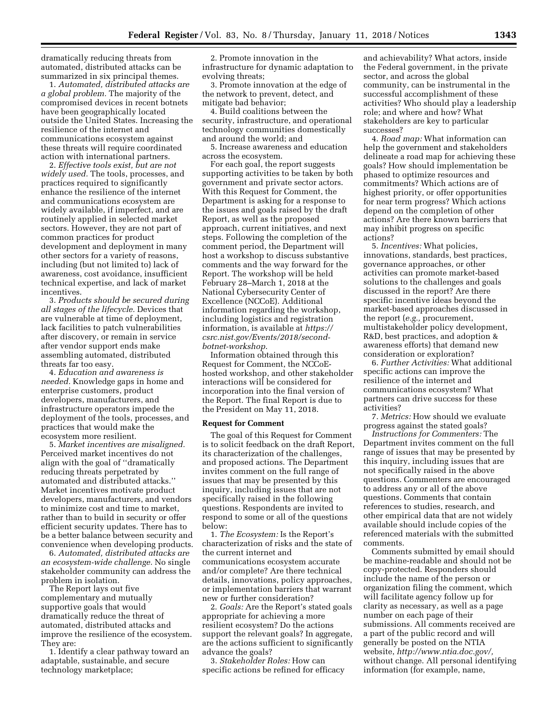dramatically reducing threats from automated, distributed attacks can be summarized in six principal themes.

1. *Automated, distributed attacks are a global problem.* The majority of the compromised devices in recent botnets have been geographically located outside the United States. Increasing the resilience of the internet and communications ecosystem against these threats will require coordinated action with international partners.

2. *Effective tools exist, but are not widely used.* The tools, processes, and practices required to significantly enhance the resilience of the internet and communications ecosystem are widely available, if imperfect, and are routinely applied in selected market sectors. However, they are not part of common practices for product development and deployment in many other sectors for a variety of reasons, including (but not limited to) lack of awareness, cost avoidance, insufficient technical expertise, and lack of market incentives.

3. *Products should be secured during all stages of the lifecycle.* Devices that are vulnerable at time of deployment, lack facilities to patch vulnerabilities after discovery, or remain in service after vendor support ends make assembling automated, distributed threats far too easy.

4. *Education and awareness is needed.* Knowledge gaps in home and enterprise customers, product developers, manufacturers, and infrastructure operators impede the deployment of the tools, processes, and practices that would make the ecosystem more resilient.

5. *Market incentives are misaligned.*  Perceived market incentives do not align with the goal of ''dramatically reducing threats perpetrated by automated and distributed attacks.'' Market incentives motivate product developers, manufacturers, and vendors to minimize cost and time to market, rather than to build in security or offer efficient security updates. There has to be a better balance between security and convenience when developing products.

6. *Automated, distributed attacks are an ecosystem-wide challenge.* No single stakeholder community can address the problem in isolation.

The Report lays out five complementary and mutually supportive goals that would dramatically reduce the threat of automated, distributed attacks and improve the resilience of the ecosystem. They are:

1. Identify a clear pathway toward an adaptable, sustainable, and secure technology marketplace;

2. Promote innovation in the infrastructure for dynamic adaptation to evolving threats;

3. Promote innovation at the edge of the network to prevent, detect, and mitigate bad behavior;

4. Build coalitions between the security, infrastructure, and operational technology communities domestically and around the world; and

5. Increase awareness and education across the ecosystem.

For each goal, the report suggests supporting activities to be taken by both government and private sector actors. With this Request for Comment, the Department is asking for a response to the issues and goals raised by the draft Report, as well as the proposed approach, current initiatives, and next steps. Following the completion of the comment period, the Department will host a workshop to discuss substantive comments and the way forward for the Report. The workshop will be held February 28–March 1, 2018 at the National Cybersecurity Center of Excellence (NCCoE). Additional information regarding the workshop, including logistics and registration information, is available at *[https://](https://csrc.nist.gov/Events/2018/second-botnet-workshop) [csrc.nist.gov/Events/2018/second](https://csrc.nist.gov/Events/2018/second-botnet-workshop)[botnet-workshop](https://csrc.nist.gov/Events/2018/second-botnet-workshop)*.

Information obtained through this Request for Comment, the NCCoEhosted workshop, and other stakeholder interactions will be considered for incorporation into the final version of the Report. The final Report is due to the President on May 11, 2018.

#### **Request for Comment**

The goal of this Request for Comment is to solicit feedback on the draft Report, its characterization of the challenges, and proposed actions. The Department invites comment on the full range of issues that may be presented by this inquiry, including issues that are not specifically raised in the following questions. Respondents are invited to respond to some or all of the questions below:

1. *The Ecosystem:* Is the Report's characterization of risks and the state of the current internet and communications ecosystem accurate and/or complete? Are there technical details, innovations, policy approaches, or implementation barriers that warrant new or further consideration?

2. *Goals:* Are the Report's stated goals appropriate for achieving a more resilient ecosystem? Do the actions support the relevant goals? In aggregate, are the actions sufficient to significantly advance the goals?

3. *Stakeholder Roles:* How can specific actions be refined for efficacy

and achievability? What actors, inside the Federal government, in the private sector, and across the global community, can be instrumental in the successful accomplishment of these activities? Who should play a leadership role; and where and how? What stakeholders are key to particular successes?

4. *Road map:* What information can help the government and stakeholders delineate a road map for achieving these goals? How should implementation be phased to optimize resources and commitments? Which actions are of highest priority, or offer opportunities for near term progress? Which actions depend on the completion of other actions? Are there known barriers that may inhibit progress on specific actions?

5. *Incentives:* What policies, innovations, standards, best practices, governance approaches, or other activities can promote market-based solutions to the challenges and goals discussed in the report? Are there specific incentive ideas beyond the market-based approaches discussed in the report (*e.g.,* procurement, multistakeholder policy development, R&D, best practices, and adoption & awareness efforts) that demand new consideration or exploration?

6. *Further Activities:* What additional specific actions can improve the resilience of the internet and communications ecosystem? What partners can drive success for these activities?

7. *Metrics:* How should we evaluate progress against the stated goals?

*Instructions for Commenters:* The Department invites comment on the full range of issues that may be presented by this inquiry, including issues that are not specifically raised in the above questions. Commenters are encouraged to address any or all of the above questions. Comments that contain references to studies, research, and other empirical data that are not widely available should include copies of the referenced materials with the submitted comments.

Comments submitted by email should be machine-readable and should not be copy-protected. Responders should include the name of the person or organization filing the comment, which will facilitate agency follow up for clarity as necessary, as well as a page number on each page of their submissions. All comments received are a part of the public record and will generally be posted on the NTIA website, *[http://www.ntia.doc.gov/,](http://www.ntia.doc.gov/)*  without change. All personal identifying information (for example, name,